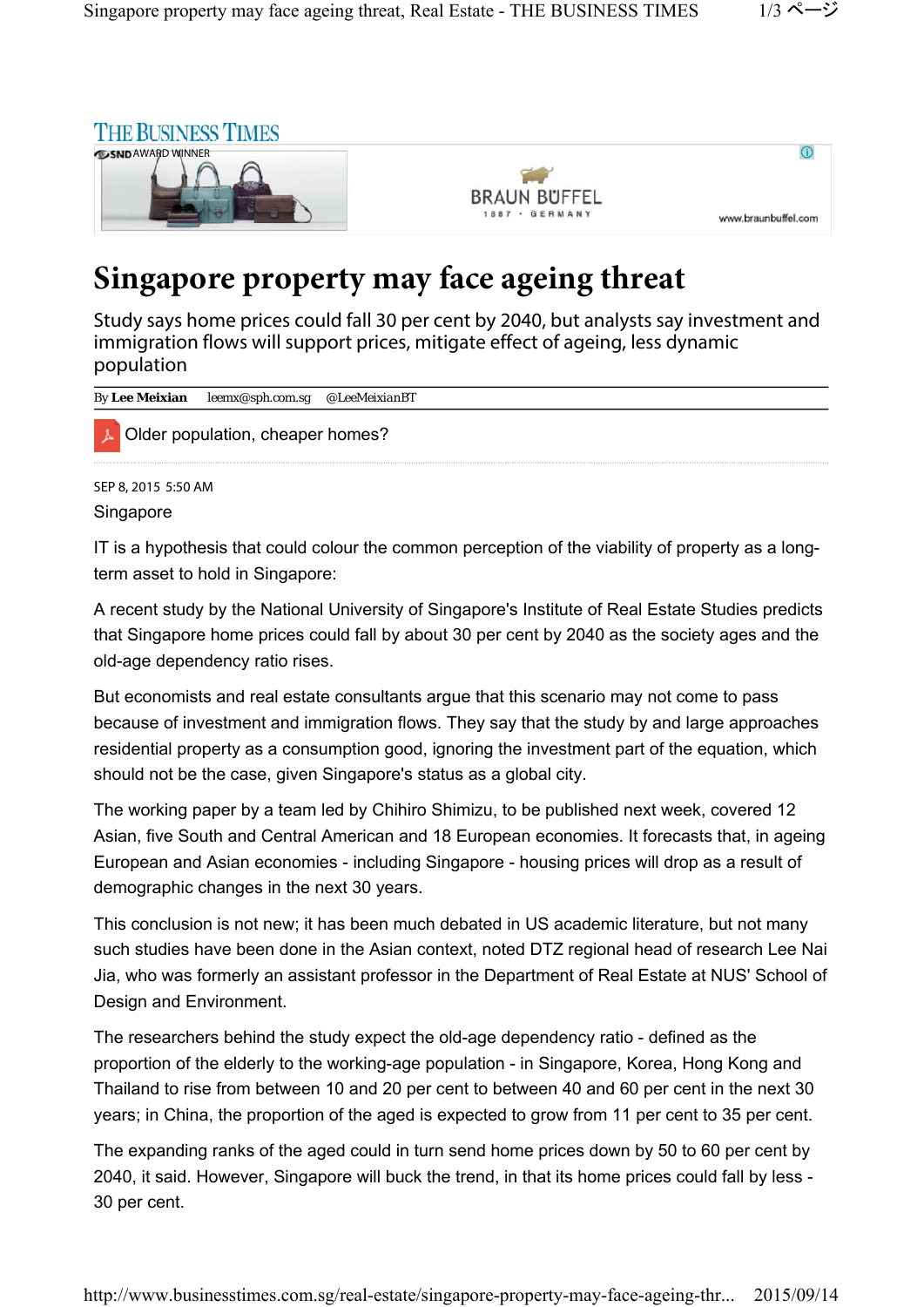

## **Singapore property may face ageing threat**

Study says home prices could fall 30 per cent by 2040, but analysts say investment and immigration flows will support prices, mitigate effect of ageing, less dynamic population

| <i>By</i> Lee Meixian |                                  |  |
|-----------------------|----------------------------------|--|
|                       | Older population, cheaper homes? |  |
| SEP 8, 2015 5:50 AM   |                                  |  |
| Singapore             |                                  |  |

IT is a hypothesis that could colour the common perception of the viability of property as a longterm asset to hold in Singapore:

A recent study by the National University of Singapore's Institute of Real Estate Studies predicts that Singapore home prices could fall by about 30 per cent by 2040 as the society ages and the old-age dependency ratio rises.

But economists and real estate consultants argue that this scenario may not come to pass because of investment and immigration flows. They say that the study by and large approaches residential property as a consumption good, ignoring the investment part of the equation, which should not be the case, given Singapore's status as a global city.

The working paper by a team led by Chihiro Shimizu, to be published next week, covered 12 Asian, five South and Central American and 18 European economies. It forecasts that, in ageing European and Asian economies - including Singapore - housing prices will drop as a result of demographic changes in the next 30 years.

This conclusion is not new; it has been much debated in US academic literature, but not many such studies have been done in the Asian context, noted DTZ regional head of research Lee Nai Jia, who was formerly an assistant professor in the Department of Real Estate at NUS' School of Design and Environment.

The researchers behind the study expect the old-age dependency ratio - defined as the proportion of the elderly to the working-age population - in Singapore, Korea, Hong Kong and Thailand to rise from between 10 and 20 per cent to between 40 and 60 per cent in the next 30 years; in China, the proportion of the aged is expected to grow from 11 per cent to 35 per cent.

The expanding ranks of the aged could in turn send home prices down by 50 to 60 per cent by 2040, it said. However, Singapore will buck the trend, in that its home prices could fall by less - 30 per cent.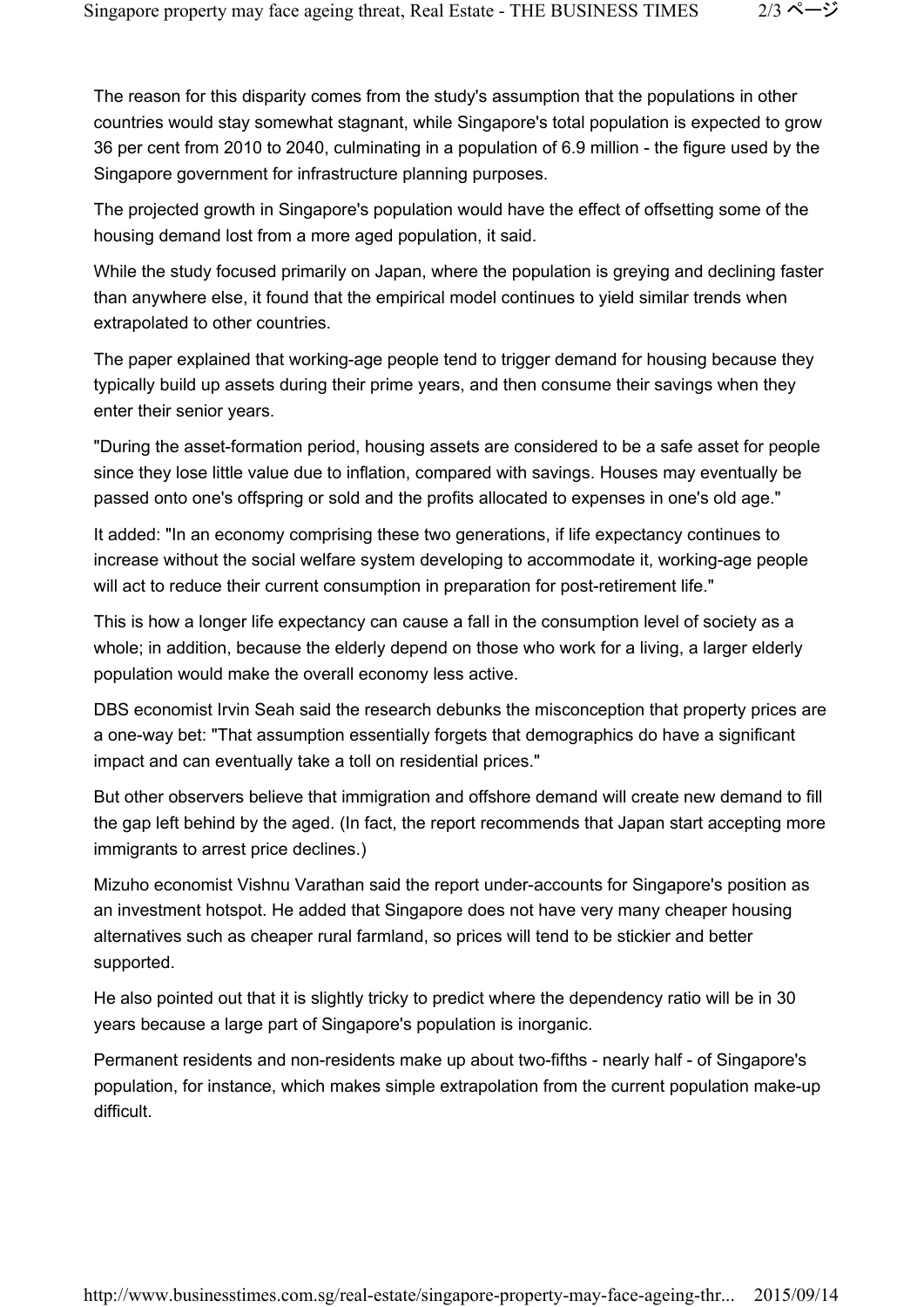The reason for this disparity comes from the study's assumption that the populations in other countries would stay somewhat stagnant, while Singapore's total population is expected to grow 36 per cent from 2010 to 2040, culminating in a population of 6.9 million - the figure used by the Singapore government for infrastructure planning purposes.

The projected growth in Singapore's population would have the effect of offsetting some of the housing demand lost from a more aged population, it said.

While the study focused primarily on Japan, where the population is greying and declining faster than anywhere else, it found that the empirical model continues to yield similar trends when extrapolated to other countries.

The paper explained that working-age people tend to trigger demand for housing because they typically build up assets during their prime years, and then consume their savings when they enter their senior years.

"During the asset-formation period, housing assets are considered to be a safe asset for people since they lose little value due to inflation, compared with savings. Houses may eventually be passed onto one's offspring or sold and the profits allocated to expenses in one's old age."

It added: "In an economy comprising these two generations, if life expectancy continues to increase without the social welfare system developing to accommodate it, working-age people will act to reduce their current consumption in preparation for post-retirement life."

This is how a longer life expectancy can cause a fall in the consumption level of society as a whole; in addition, because the elderly depend on those who work for a living, a larger elderly population would make the overall economy less active.

DBS economist Irvin Seah said the research debunks the misconception that property prices are a one-way bet: "That assumption essentially forgets that demographics do have a significant impact and can eventually take a toll on residential prices."

But other observers believe that immigration and offshore demand will create new demand to fill the gap left behind by the aged. (In fact, the report recommends that Japan start accepting more immigrants to arrest price declines.)

Mizuho economist Vishnu Varathan said the report under-accounts for Singapore's position as an investment hotspot. He added that Singapore does not have very many cheaper housing alternatives such as cheaper rural farmland, so prices will tend to be stickier and better supported.

He also pointed out that it is slightly tricky to predict where the dependency ratio will be in 30 years because a large part of Singapore's population is inorganic.

Permanent residents and non-residents make up about two-fifths - nearly half - of Singapore's population, for instance, which makes simple extrapolation from the current population make-up difficult.